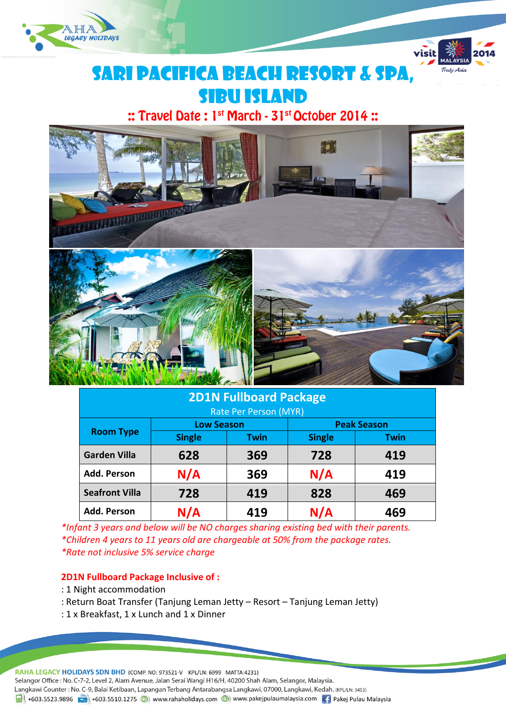



# SARI PACIFICA BEACH RESORT & sPA, **SIBU ISLAND**

:: Travel Date: 1st March - 31st October 2014:



| <b>2D1N Fullboard Package</b> |                   |             |                    |             |  |  |  |
|-------------------------------|-------------------|-------------|--------------------|-------------|--|--|--|
| Rate Per Person (MYR)         |                   |             |                    |             |  |  |  |
| <b>Room Type</b>              | <b>Low Season</b> |             | <b>Peak Season</b> |             |  |  |  |
|                               | <b>Single</b>     | <b>Twin</b> | <b>Single</b>      | <b>Twin</b> |  |  |  |
| <b>Garden Villa</b>           | 628               | 369         | 728                | 419         |  |  |  |
| Add. Person                   | N/A               | 369         | N/A                | 419         |  |  |  |
| <b>Seafront Villa</b>         | 728               | 419         | 828                | 469         |  |  |  |
| Add. Person                   | N/A               | 419         | N/A                | 469         |  |  |  |

*\*Infant 3 years and below will be NO charges sharing existing bed with their parents. \*Children 4 years to 11 years old are chargeable at 50% from the package rates. \*Rate not inclusive 5% service charge*

#### **2D1N Fullboard Package Inclusive of :**

- : 1 Night accommodation
- : Return Boat Transfer (Tanjung Leman Jetty Resort Tanjung Leman Jetty)
- : 1 x Breakfast, 1 x Lunch and 1 x Dinner

RAHA LEGACY HOLIDAYS SDN BHD (COMP. NO: 973521-V KPL/LN: 6999 MATTA:4231)

Selangor Office: No. C-7-2, Level 2, Alam Avenue, Jalan Serai Wangi H16/H, 40200 Shah Alam, Selangor, Malaysia.

Langkawi Counter: No. C-9, Balai Ketibaan, Lapangan Terbang Antarabangsa Langkawi, 07000, Langkawi, Kedah. (KPL/LN: 3453)

1988 Fig. 1-603.5523.9896 Fig. 1-603.5510.1275 (D) www.rahaholidays.com (D) www.pakejpulaumalaysia.com Fig. Pakej Pulau Malaysia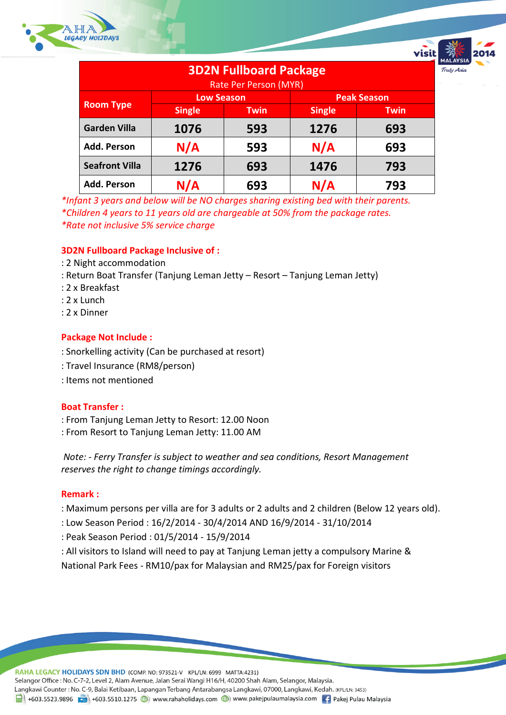

| <b>3D2N Fullboard Package</b> |                   |             |                    |             |  |  |  |
|-------------------------------|-------------------|-------------|--------------------|-------------|--|--|--|
| Rate Per Person (MYR)         |                   |             |                    |             |  |  |  |
| <b>Room Type</b>              | <b>Low Season</b> |             | <b>Peak Season</b> |             |  |  |  |
|                               | <b>Single</b>     | <b>Twin</b> | <b>Single</b>      | <b>Twin</b> |  |  |  |
| <b>Garden Villa</b>           | 1076              | 593         | 1276               | 693         |  |  |  |
| <b>Add. Person</b>            | N/A               | 593         | N/A                | 693         |  |  |  |
| <b>Seafront Villa</b>         | 1276              | 693         | 1476               | 793         |  |  |  |
| <b>Add. Person</b>            | N/A               | 693         | N/A                | 793         |  |  |  |

*\*Infant 3 years and below will be NO charges sharing existing bed with their parents. \*Children 4 years to 11 years old are chargeable at 50% from the package rates. \*Rate not inclusive 5% service charge*

# **3D2N Fullboard Package Inclusive of :**

- : 2 Night accommodation
- : Return Boat Transfer (Tanjung Leman Jetty Resort Tanjung Leman Jetty)
- : 2 x Breakfast
- : 2 x Lunch
- : 2 x Dinner

# **Package Not Include :**

- : Snorkelling activity (Can be purchased at resort)
- : Travel Insurance (RM8/person)
- : Items not mentioned

#### **Boat Transfer :**

- : From Tanjung Leman Jetty to Resort: 12.00 Noon
- : From Resort to Tanjung Leman Jetty: 11.00 AM

*Note: - Ferry Transfer is subject to weather and sea conditions, Resort Management reserves the right to change timings accordingly.*

#### **Remark :**

- : Maximum persons per villa are for 3 adults or 2 adults and 2 children (Below 12 years old).
- : Low Season Period : 16/2/2014 30/4/2014 AND 16/9/2014 31/10/2014
- : Peak Season Period : 01/5/2014 15/9/2014
- : All visitors to Island will need to pay at Tanjung Leman jetty a compulsory Marine &
- National Park Fees RM10/pax for Malaysian and RM25/pax for Foreign visitors

RAHA LEGACY HOLIDAYS SDN BHD (COMP. NO: 973521-V KPL/LN: 6999 MATTA:4231) Selangor Office : No. C-7-2, Level 2, Alam Avenue, Jalan Serai Wangi H16/H, 40200 Shah Alam, Selangor, Malaysia. Langkawi Counter: No. C-9, Balai Ketibaan, Lapangan Terbang Antarabangsa Langkawi, 07000, Langkawi, Kedah. (KPL/LN: 3453) 1988 Fig. 1-603.5523.9896 Fig. 1-603.5510.1275 (D) www.rahaholidays.com (D) www.pakejpulaumalaysia.com Fig. Pakej Pulau Malaysia